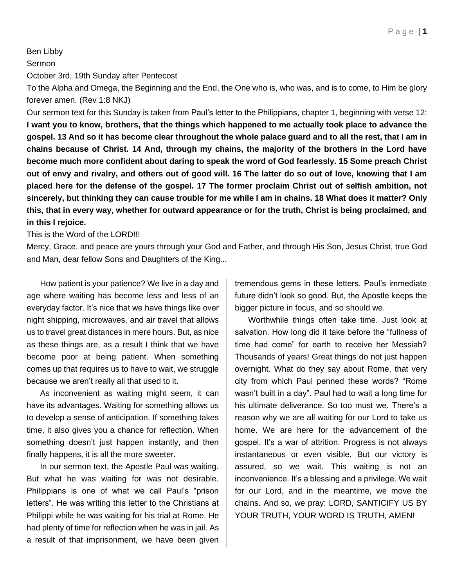## Ben Libby

## Sermon

October 3rd, 19th Sunday after Pentecost

To the Alpha and Omega, the Beginning and the End, the One who is, who was, and is to come, to Him be glory forever amen. (Rev 1:8 NKJ)

Our sermon text for this Sunday is taken from Paul's letter to the Philippians, chapter 1, beginning with verse 12: **I want you to know, brothers, that the things which happened to me actually took place to advance the gospel. 13 And so it has become clear throughout the whole palace guard and to all the rest, that I am in chains because of Christ. 14 And, through my chains, the majority of the brothers in the Lord have become much more confident about daring to speak the word of God fearlessly. 15 Some preach Christ out of envy and rivalry, and others out of good will. 16 The latter do so out of love, knowing that I am placed here for the defense of the gospel. 17 The former proclaim Christ out of selfish ambition, not sincerely, but thinking they can cause trouble for me while I am in chains. 18 What does it matter? Only this, that in every way, whether for outward appearance or for the truth, Christ is being proclaimed, and in this I rejoice.**

This is the Word of the LORD!!!

Mercy, Grace, and peace are yours through your God and Father, and through His Son, Jesus Christ, true God and Man, dear fellow Sons and Daughters of the King...

How patient is your patience? We live in a day and age where waiting has become less and less of an everyday factor. It's nice that we have things like over night shipping, microwaves, and air travel that allows us to travel great distances in mere hours. But, as nice as these things are, as a result I think that we have become poor at being patient. When something comes up that requires us to have to wait, we struggle because we aren't really all that used to it.

As inconvenient as waiting might seem, it can have its advantages. Waiting for something allows us to develop a sense of anticipation. If something takes time, it also gives you a chance for reflection. When something doesn't just happen instantly, and then finally happens, it is all the more sweeter.

In our sermon text, the Apostle Paul was waiting. But what he was waiting for was not desirable. Philippians is one of what we call Paul's "prison letters". He was writing this letter to the Christians at Philippi while he was waiting for his trial at Rome. He had plenty of time for reflection when he was in jail. As a result of that imprisonment, we have been given

tremendous gems in these letters. Paul's immediate future didn't look so good. But, the Apostle keeps the bigger picture in focus, and so should we.

Worthwhile things often take time. Just look at salvation. How long did it take before the "fullness of time had come" for earth to receive her Messiah? Thousands of years! Great things do not just happen overnight. What do they say about Rome, that very city from which Paul penned these words? "Rome wasn't built in a day". Paul had to wait a long time for his ultimate deliverance. So too must we. There's a reason why we are all waiting for our Lord to take us home. We are here for the advancement of the gospel. It's a war of attrition. Progress is not always instantaneous or even visible. But our victory is assured, so we wait. This waiting is not an inconvenience. It's a blessing and a privilege. We wait for our Lord, and in the meantime, we move the chains. And so, we pray: LORD, SANTICIFY US BY YOUR TRUTH, YOUR WORD IS TRUTH, AMEN!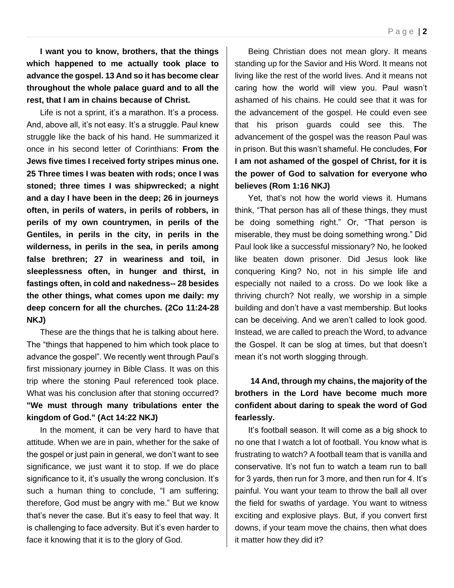**I want you to know, brothers, that the things which happened to me actually took place to advance the gospel. 13 And so it has become clear throughout the whole palace guard and to all the rest, that I am in chains because of Christ.** 

Life is not a sprint, it's a marathon. It's a process. And, above all, it's not easy. It's a struggle. Paul knew struggle like the back of his hand. He summarized it once in his second letter of Corinthians: **From the Jews five times I received forty stripes minus one. 25 Three times I was beaten with rods; once I was stoned; three times I was shipwrecked; a night and a day I have been in the deep; 26 in journeys often, in perils of waters, in perils of robbers, in perils of my own countrymen, in perils of the Gentiles, in perils in the city, in perils in the wilderness, in perils in the sea, in perils among false brethren; 27 in weariness and toil, in sleeplessness often, in hunger and thirst, in fastings often, in cold and nakedness-- 28 besides the other things, what comes upon me daily: my deep concern for all the churches. (2Co 11:24-28 NKJ)**

These are the things that he is talking about here. The "things that happened to him which took place to advance the gospel". We recently went through Paul's first missionary journey in Bible Class. It was on this trip where the stoning Paul referenced took place. What was his conclusion after that stoning occurred? **"We must through many tribulations enter the kingdom of God." (Act 14:22 NKJ)**

In the moment, it can be very hard to have that attitude. When we are in pain, whether for the sake of the gospel or just pain in general, we don't want to see significance, we just want it to stop. If we do place significance to it, it's usually the wrong conclusion. It's such a human thing to conclude, "I am suffering; therefore, God must be angry with me." But we know that's never the case. But it's easy to feel that way. It is challenging to face adversity. But it's even harder to face it knowing that it is to the glory of God.

Being Christian does not mean glory. It means standing up for the Savior and His Word. It means not living like the rest of the world lives. And it means not caring how the world will view you. Paul wasn't ashamed of his chains. He could see that it was for the advancement of the gospel. He could even see that his prison guards could see this. The advancement of the gospel was the reason Paul was in prison. But this wasn't shameful. He concludes, **For I am not ashamed of the gospel of Christ, for it is the power of God to salvation for everyone who believes (Rom 1:16 NKJ)**

Yet, that's not how the world views it. Humans think, "That person has all of these things, they must be doing something right." Or, "That person is miserable, they must be doing something wrong." Did Paul look like a successful missionary? No, he looked like beaten down prisoner. Did Jesus look like conquering King? No, not in his simple life and especially not nailed to a cross. Do we look like a thriving church? Not really, we worship in a simple building and don't have a vast membership. But looks can be deceiving. And we aren't called to look good. Instead, we are called to preach the Word, to advance the Gospel. It can be slog at times, but that doesn't mean it's not worth slogging through.

## **14 And, through my chains, the majority of the brothers in the Lord have become much more confident about daring to speak the word of God fearlessly.**

It's football season. It will come as a big shock to no one that I watch a lot of football. You know what is frustrating to watch? A football team that is vanilla and conservative. It's not fun to watch a team run to ball for 3 yards, then run for 3 more, and then run for 4. It's painful. You want your team to throw the ball all over the field for swaths of yardage. You want to witness exciting and explosive plays. But, if you convert first downs, if your team move the chains, then what does it matter how they did it?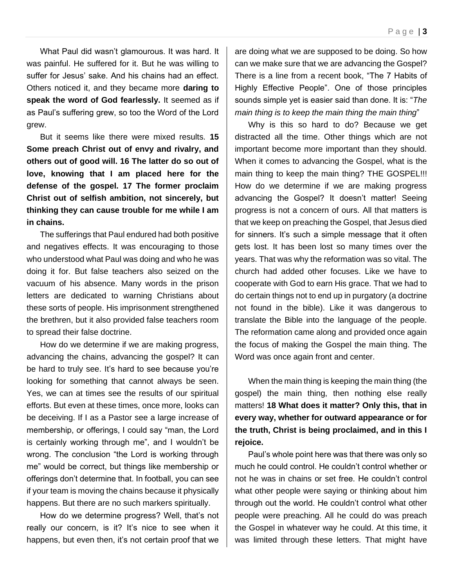What Paul did wasn't glamourous. It was hard. It was painful. He suffered for it. But he was willing to suffer for Jesus' sake. And his chains had an effect. Others noticed it, and they became more **daring to speak the word of God fearlessly.** It seemed as if as Paul's suffering grew, so too the Word of the Lord grew.

But it seems like there were mixed results. **15 Some preach Christ out of envy and rivalry, and others out of good will. 16 The latter do so out of love, knowing that I am placed here for the defense of the gospel. 17 The former proclaim Christ out of selfish ambition, not sincerely, but thinking they can cause trouble for me while I am in chains.** 

The sufferings that Paul endured had both positive and negatives effects. It was encouraging to those who understood what Paul was doing and who he was doing it for. But false teachers also seized on the vacuum of his absence. Many words in the prison letters are dedicated to warning Christians about these sorts of people. His imprisonment strengthened the brethren, but it also provided false teachers room to spread their false doctrine.

How do we determine if we are making progress, advancing the chains, advancing the gospel? It can be hard to truly see. It's hard to see because you're looking for something that cannot always be seen. Yes, we can at times see the results of our spiritual efforts. But even at these times, once more, looks can be deceiving. If I as a Pastor see a large increase of membership, or offerings, I could say "man, the Lord is certainly working through me", and I wouldn't be wrong. The conclusion "the Lord is working through me" would be correct, but things like membership or offerings don't determine that. In football, you can see if your team is moving the chains because it physically happens. But there are no such markers spiritually.

How do we determine progress? Well, that's not really our concern, is it? It's nice to see when it happens, but even then, it's not certain proof that we

are doing what we are supposed to be doing. So how can we make sure that we are advancing the Gospel? There is a line from a recent book, "The 7 Habits of Highly Effective People". One of those principles sounds simple yet is easier said than done. It is: "*The main thing is to keep the main thing the main thing*"

Why is this so hard to do? Because we get distracted all the time. Other things which are not important become more important than they should. When it comes to advancing the Gospel, what is the main thing to keep the main thing? THE GOSPEL!!! How do we determine if we are making progress advancing the Gospel? It doesn't matter! Seeing progress is not a concern of ours. All that matters is that we keep on preaching the Gospel, that Jesus died for sinners. It's such a simple message that it often gets lost. It has been lost so many times over the years. That was why the reformation was so vital. The church had added other focuses. Like we have to cooperate with God to earn His grace. That we had to do certain things not to end up in purgatory (a doctrine not found in the bible). Like it was dangerous to translate the Bible into the language of the people. The reformation came along and provided once again the focus of making the Gospel the main thing. The Word was once again front and center.

When the main thing is keeping the main thing (the gospel) the main thing, then nothing else really matters! **18 What does it matter? Only this, that in every way, whether for outward appearance or for the truth, Christ is being proclaimed, and in this I rejoice.**

Paul's whole point here was that there was only so much he could control. He couldn't control whether or not he was in chains or set free. He couldn't control what other people were saying or thinking about him through out the world. He couldn't control what other people were preaching. All he could do was preach the Gospel in whatever way he could. At this time, it was limited through these letters. That might have